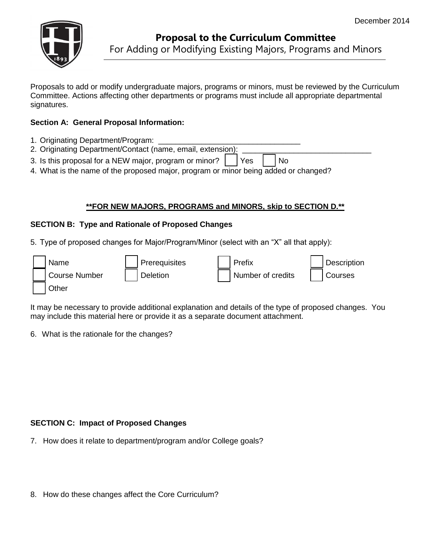

Ī

Proposals to add or modify undergraduate majors, programs or minors, must be reviewed by the Curriculum Committee. Actions affecting other departments or programs must include all appropriate departmental signatures.

## **Section A: General Proposal Information:**

- 1. Originating Department/Program:
- 2. Originating Department/Contact (name, email, extension): 3. Is this proposal for a NEW major, program or minor?  $\vert \cdot \vert$  Yes  $\vert \cdot \vert$  No
- 4. What is the name of the proposed major, program or minor being added or changed?

## **\*\*FOR NEW MAJORS, PROGRAMS and MINORS, skip to SECTION D.\*\***

#### **SECTION B: Type and Rationale of Proposed Changes**

5. Type of proposed changes for Major/Program/Minor (select with an "X" all that apply):

|  | Name          | Prerequisites   | Prefix            | Description |
|--|---------------|-----------------|-------------------|-------------|
|  | Course Number | <b>Deletion</b> | Number of credits | Courses     |
|  | Other         |                 |                   |             |

It may be necessary to provide additional explanation and details of the type of proposed changes. You may include this material here or provide it as a separate document attachment.

6. What is the rationale for the changes?

### **SECTION C: Impact of Proposed Changes**

- 7. How does it relate to department/program and/or College goals?
- 8. How do these changes affect the Core Curriculum?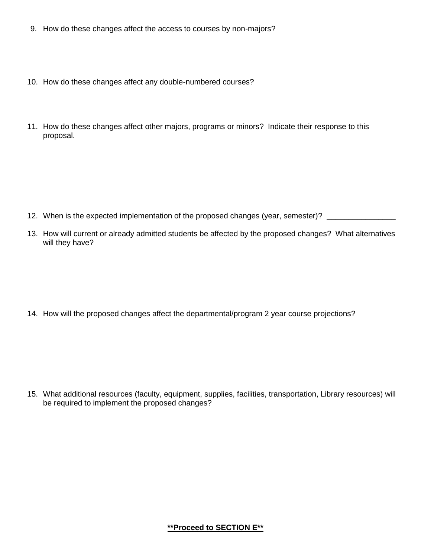- 9. How do these changes affect the access to courses by non-majors?
- 10. How do these changes affect any double-numbered courses?
- 11. How do these changes affect other majors, programs or minors? Indicate their response to this proposal.

- 12. When is the expected implementation of the proposed changes (year, semester)? \_\_\_\_\_\_\_\_\_\_\_\_\_\_\_\_\_
- 13. How will current or already admitted students be affected by the proposed changes? What alternatives will they have?

14. How will the proposed changes affect the departmental/program 2 year course projections?

15. What additional resources (faculty, equipment, supplies, facilities, transportation, Library resources) will be required to implement the proposed changes?

### **\*\*Proceed to SECTION E\*\***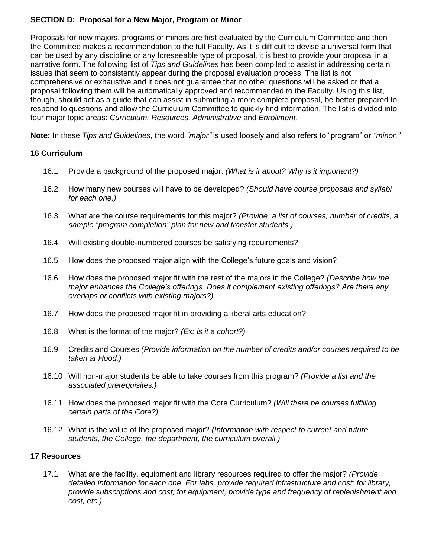# **SECTION D: Proposal for a New Major, Program or Minor**

Proposals for new majors, programs or minors are first evaluated by the Curriculum Committee and then the Committee makes a recommendation to the full Faculty. As it is difficult to devise a universal form that can be used by any discipline or any foreseeable type of proposal, it is best to provide your proposal in a narrative form. The following list of *Tips and Guidelines* has been compiled to assist in addressing certain issues that seem to consistently appear during the proposal evaluation process. The list is not comprehensive or exhaustive and it does not guarantee that no other questions will be asked or that a proposal following them will be automatically approved and recommended to the Faculty. Using this list, though, should act as a guide that can assist in submitting a more complete proposal, be better prepared to respond to questions and allow the Curriculum Committee to quickly find information. The list is divided into four major topic areas: *Curriculum, Resources, Administrative* and *Enrollment.*

**Note:** In these *Tips and Guidelines*, the word *"major"* is used loosely and also refers to "program" or *"minor."*

# **16 Curriculum**

- 16.1 Provide a background of the proposed major. *(What is it about? Why is it important?)*
- 16.2 How many new courses will have to be developed? *(Should have course proposals and syllabi for each one.)*
- 16.3 What are the course requirements for this major? *(Provide: a list of courses, number of credits, a sample "program completion" plan for new and transfer students.)*
- 16.4 Will existing double-numbered courses be satisfying requirements?
- 16.5 How does the proposed major align with the College's future goals and vision?
- 16.6 How does the proposed major fit with the rest of the majors in the College? *(Describe how the major enhances the College's offerings. Does it complement existing offerings? Are there any overlaps or conflicts with existing majors?)*
- 16.7 How does the proposed major fit in providing a liberal arts education?
- 16.8 What is the format of the major? *(Ex: is it a cohort?)*
- 16.9 Credits and Courses *(Provide information on the number of credits and/or courses required to be taken at Hood.)*
- 16.10 Will non-major students be able to take courses from this program? *(Provide a list and the associated prerequisites.)*
- 16.11 How does the proposed major fit with the Core Curriculum? *(Will there be courses fulfilling certain parts of the Core?)*
- 16.12 What is the value of the proposed major? *(Information with respect to current and future students, the College, the department, the curriculum overall.)*

### **17 Resources**

 17.1 What are the facility, equipment and library resources required to offer the major? *(Provide detailed information for each one. For labs, provide required infrastructure and cost; for library, provide subscriptions and cost; for equipment, provide type and frequency of replenishment and cost, etc.)*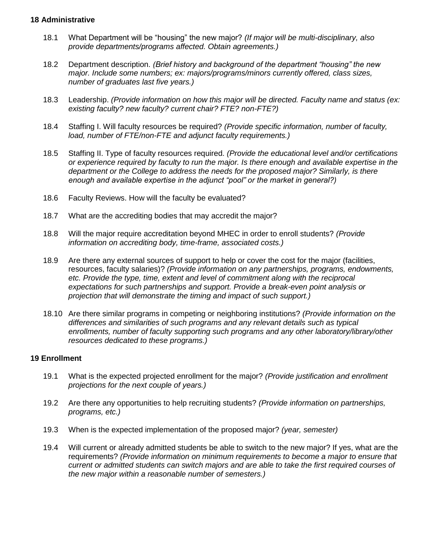#### **18 Administrative**

- 18.1 What Department will be "housing" the new major? *(If major will be multi-disciplinary, also provide departments/programs affected. Obtain agreements.)*
- 18.2 Department description. *(Brief history and background of the department "housing" the new major. Include some numbers; ex: majors/programs/minors currently offered, class sizes, number of graduates last five years.)*
- 18.3 Leadership. *(Provide information on how this major will be directed. Faculty name and status (ex: existing faculty? new faculty? current chair? FTE? non-FTE?)*
- 18.4 Staffing I. Will faculty resources be required? *(Provide specific information, number of faculty, load, number of FTE/non-FTE and adjunct faculty requirements.)*
- 18.5 Staffing II. Type of faculty resources required. *(Provide the educational level and/or certifications or experience required by faculty to run the major. Is there enough and available expertise in the department or the College to address the needs for the proposed major? Similarly, is there enough and available expertise in the adjunct "pool" or the market in general?)*
- 18.6 Faculty Reviews. How will the faculty be evaluated?
- 18.7 What are the accrediting bodies that may accredit the major?
- 18.8 Will the major require accreditation beyond MHEC in order to enroll students? *(Provide information on accrediting body, time-frame, associated costs.)*
- 18.9 Are there any external sources of support to help or cover the cost for the major (facilities, resources, faculty salaries)? *(Provide information on any partnerships, programs, endowments, etc. Provide the type, time, extent and level of commitment along with the reciprocal expectations for such partnerships and support. Provide a break-even point analysis or projection that will demonstrate the timing and impact of such support.)*
- 18.10 Are there similar programs in competing or neighboring institutions? *(Provide information on the differences and similarities of such programs and any relevant details such as typical enrollments, number of faculty supporting such programs and any other laboratory/library/other resources dedicated to these programs.)*

### **19 Enrollment**

- 19.1 What is the expected projected enrollment for the major? *(Provide justification and enrollment projections for the next couple of years.)*
- 19.2 Are there any opportunities to help recruiting students? *(Provide information on partnerships, programs, etc.)*
- 19.3 When is the expected implementation of the proposed major? *(year, semester)*
- 19.4 Will current or already admitted students be able to switch to the new major? If yes, what are the requirements? *(Provide information on minimum requirements to become a major to ensure that current or admitted students can switch majors and are able to take the first required courses of the new major within a reasonable number of semesters.)*